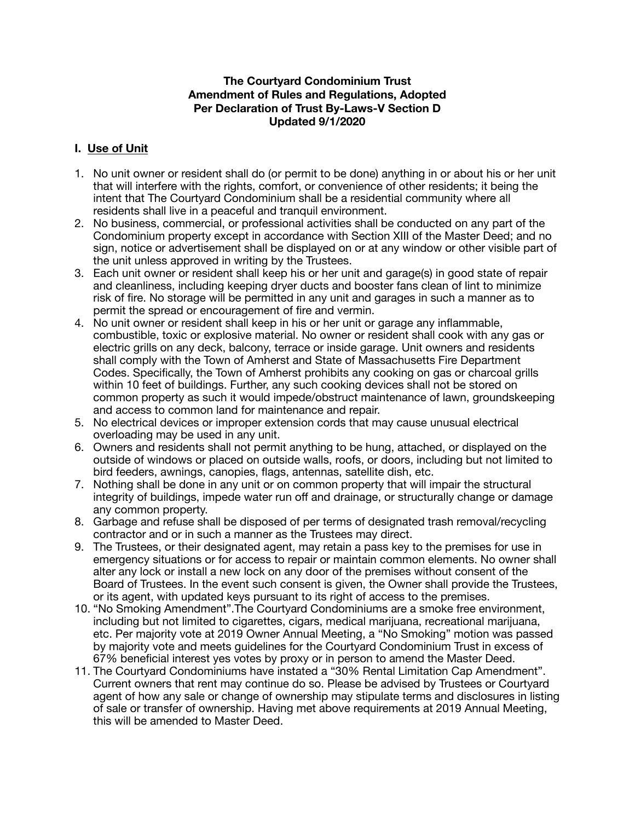### **The Courtyard Condominium Trust Amendment of Rules and Regulations, Adopted Per Declaration of Trust By-Laws-V Section D Updated 9/1/2020**

# **I. Use of Unit**

- 1. No unit owner or resident shall do (or permit to be done) anything in or about his or her unit that will interfere with the rights, comfort, or convenience of other residents; it being the intent that The Courtyard Condominium shall be a residential community where all residents shall live in a peaceful and tranquil environment.
- 2. No business, commercial, or professional activities shall be conducted on any part of the Condominium property except in accordance with Section XIII of the Master Deed; and no sign, notice or advertisement shall be displayed on or at any window or other visible part of the unit unless approved in writing by the Trustees.
- 3. Each unit owner or resident shall keep his or her unit and garage(s) in good state of repair and cleanliness, including keeping dryer ducts and booster fans clean of lint to minimize risk of fire. No storage will be permitted in any unit and garages in such a manner as to permit the spread or encouragement of fire and vermin.
- 4. No unit owner or resident shall keep in his or her unit or garage any inflammable, combustible, toxic or explosive material. No owner or resident shall cook with any gas or electric grills on any deck, balcony, terrace or inside garage. Unit owners and residents shall comply with the Town of Amherst and State of Massachusetts Fire Department Codes. Specifically, the Town of Amherst prohibits any cooking on gas or charcoal grills within 10 feet of buildings. Further, any such cooking devices shall not be stored on common property as such it would impede/obstruct maintenance of lawn, groundskeeping and access to common land for maintenance and repair.
- 5. No electrical devices or improper extension cords that may cause unusual electrical overloading may be used in any unit.
- 6. Owners and residents shall not permit anything to be hung, attached, or displayed on the outside of windows or placed on outside walls, roofs, or doors, including but not limited to bird feeders, awnings, canopies, flags, antennas, satellite dish, etc.
- 7. Nothing shall be done in any unit or on common property that will impair the structural integrity of buildings, impede water run off and drainage, or structurally change or damage any common property.
- 8. Garbage and refuse shall be disposed of per terms of designated trash removal/recycling contractor and or in such a manner as the Trustees may direct.
- 9. The Trustees, or their designated agent, may retain a pass key to the premises for use in emergency situations or for access to repair or maintain common elements. No owner shall alter any lock or install a new lock on any door of the premises without consent of the Board of Trustees. In the event such consent is given, the Owner shall provide the Trustees, or its agent, with updated keys pursuant to its right of access to the premises.
- 10. "No Smoking Amendment".The Courtyard Condominiums are a smoke free environment, including but not limited to cigarettes, cigars, medical marijuana, recreational marijuana, etc. Per majority vote at 2019 Owner Annual Meeting, a "No Smoking" motion was passed by majority vote and meets guidelines for the Courtyard Condominium Trust in excess of 67% beneficial interest yes votes by proxy or in person to amend the Master Deed.
- 11. The Courtyard Condominiums have instated a "30% Rental Limitation Cap Amendment". Current owners that rent may continue do so. Please be advised by Trustees or Courtyard agent of how any sale or change of ownership may stipulate terms and disclosures in listing of sale or transfer of ownership. Having met above requirements at 2019 Annual Meeting, this will be amended to Master Deed.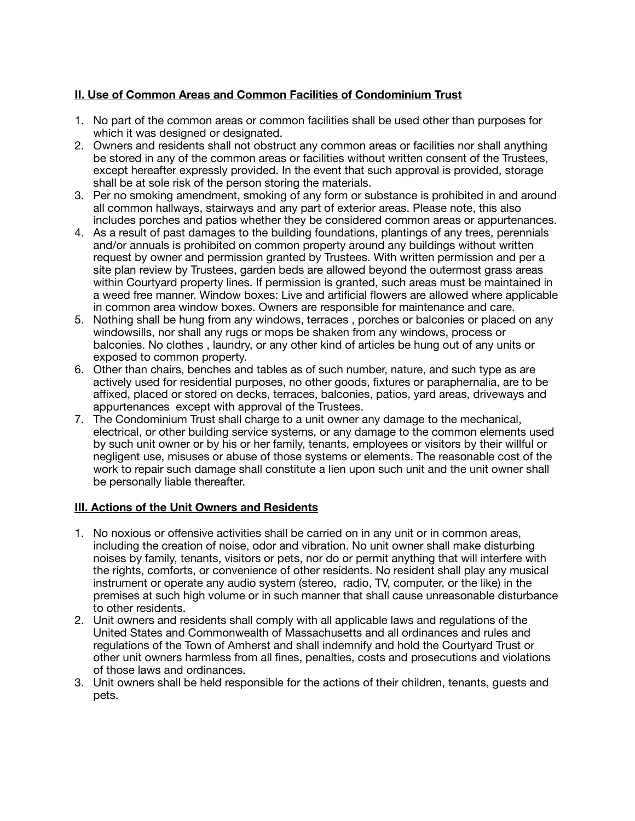# **II. Use of Common Areas and Common Facilities of Condominium Trust**

- 1. No part of the common areas or common facilities shall be used other than purposes for which it was designed or designated.
- 2. Owners and residents shall not obstruct any common areas or facilities nor shall anything be stored in any of the common areas or facilities without written consent of the Trustees, except hereafter expressly provided. In the event that such approval is provided, storage shall be at sole risk of the person storing the materials.
- 3. Per no smoking amendment, smoking of any form or substance is prohibited in and around all common hallways, stairways and any part of exterior areas. Please note, this also includes porches and patios whether they be considered common areas or appurtenances.
- 4. As a result of past damages to the building foundations, plantings of any trees, perennials and/or annuals is prohibited on common property around any buildings without written request by owner and permission granted by Trustees. With written permission and per a site plan review by Trustees, garden beds are allowed beyond the outermost grass areas within Courtyard property lines. If permission is granted, such areas must be maintained in a weed free manner. Window boxes: Live and artificial flowers are allowed where applicable in common area window boxes. Owners are responsible for maintenance and care.
- 5. Nothing shall be hung from any windows, terraces , porches or balconies or placed on any windowsills, nor shall any rugs or mops be shaken from any windows, process or balconies. No clothes , laundry, or any other kind of articles be hung out of any units or exposed to common property.
- 6. Other than chairs, benches and tables as of such number, nature, and such type as are actively used for residential purposes, no other goods, fixtures or paraphernalia, are to be affixed, placed or stored on decks, terraces, balconies, patios, yard areas, driveways and appurtenances except with approval of the Trustees.
- 7. The Condominium Trust shall charge to a unit owner any damage to the mechanical, electrical, or other building service systems, or any damage to the common elements used by such unit owner or by his or her family, tenants, employees or visitors by their willful or negligent use, misuses or abuse of those systems or elements. The reasonable cost of the work to repair such damage shall constitute a lien upon such unit and the unit owner shall be personally liable thereafter.

# **III. Actions of the Unit Owners and Residents**

- 1. No noxious or offensive activities shall be carried on in any unit or in common areas, including the creation of noise, odor and vibration. No unit owner shall make disturbing noises by family, tenants, visitors or pets, nor do or permit anything that will interfere with the rights, comforts, or convenience of other residents. No resident shall play any musical instrument or operate any audio system (stereo, radio, TV, computer, or the like) in the premises at such high volume or in such manner that shall cause unreasonable disturbance to other residents.
- 2. Unit owners and residents shall comply with all applicable laws and regulations of the United States and Commonwealth of Massachusetts and all ordinances and rules and regulations of the Town of Amherst and shall indemnify and hold the Courtyard Trust or other unit owners harmless from all fines, penalties, costs and prosecutions and violations of those laws and ordinances.
- 3. Unit owners shall be held responsible for the actions of their children, tenants, guests and pets.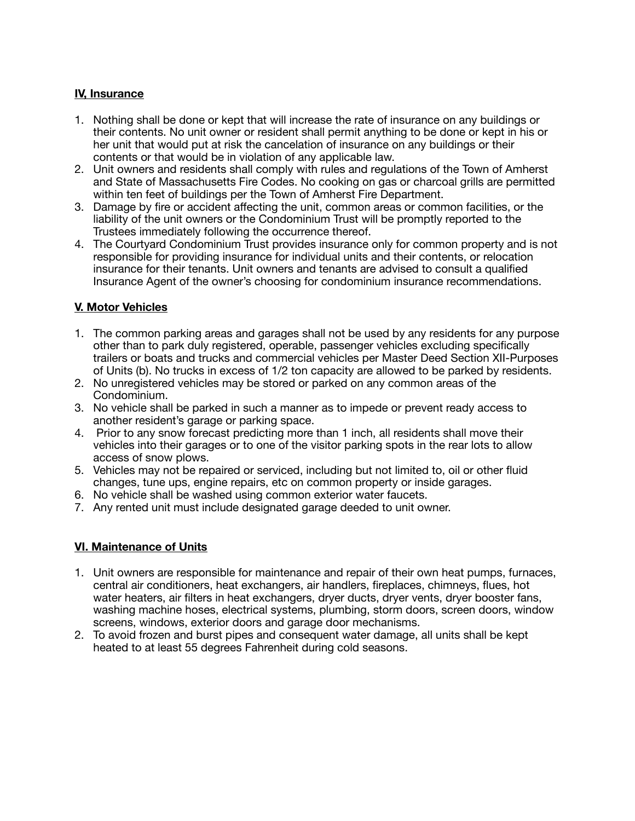### **IV, Insurance**

- 1. Nothing shall be done or kept that will increase the rate of insurance on any buildings or their contents. No unit owner or resident shall permit anything to be done or kept in his or her unit that would put at risk the cancelation of insurance on any buildings or their contents or that would be in violation of any applicable law.
- 2. Unit owners and residents shall comply with rules and regulations of the Town of Amherst and State of Massachusetts Fire Codes. No cooking on gas or charcoal grills are permitted within ten feet of buildings per the Town of Amherst Fire Department.
- 3. Damage by fire or accident affecting the unit, common areas or common facilities, or the liability of the unit owners or the Condominium Trust will be promptly reported to the Trustees immediately following the occurrence thereof.
- 4. The Courtyard Condominium Trust provides insurance only for common property and is not responsible for providing insurance for individual units and their contents, or relocation insurance for their tenants. Unit owners and tenants are advised to consult a qualified Insurance Agent of the owner's choosing for condominium insurance recommendations.

## **V. Motor Vehicles**

- 1. The common parking areas and garages shall not be used by any residents for any purpose other than to park duly registered, operable, passenger vehicles excluding specifically trailers or boats and trucks and commercial vehicles per Master Deed Section XII-Purposes of Units (b). No trucks in excess of 1/2 ton capacity are allowed to be parked by residents.
- 2. No unregistered vehicles may be stored or parked on any common areas of the Condominium.
- 3. No vehicle shall be parked in such a manner as to impede or prevent ready access to another resident's garage or parking space.
- 4. Prior to any snow forecast predicting more than 1 inch, all residents shall move their vehicles into their garages or to one of the visitor parking spots in the rear lots to allow access of snow plows.
- 5. Vehicles may not be repaired or serviced, including but not limited to, oil or other fluid changes, tune ups, engine repairs, etc on common property or inside garages.
- 6. No vehicle shall be washed using common exterior water faucets.
- 7. Any rented unit must include designated garage deeded to unit owner.

### **VI. Maintenance of Units**

- 1. Unit owners are responsible for maintenance and repair of their own heat pumps, furnaces, central air conditioners, heat exchangers, air handlers, fireplaces, chimneys, flues, hot water heaters, air filters in heat exchangers, dryer ducts, dryer vents, dryer booster fans, washing machine hoses, electrical systems, plumbing, storm doors, screen doors, window screens, windows, exterior doors and garage door mechanisms.
- 2. To avoid frozen and burst pipes and consequent water damage, all units shall be kept heated to at least 55 degrees Fahrenheit during cold seasons.